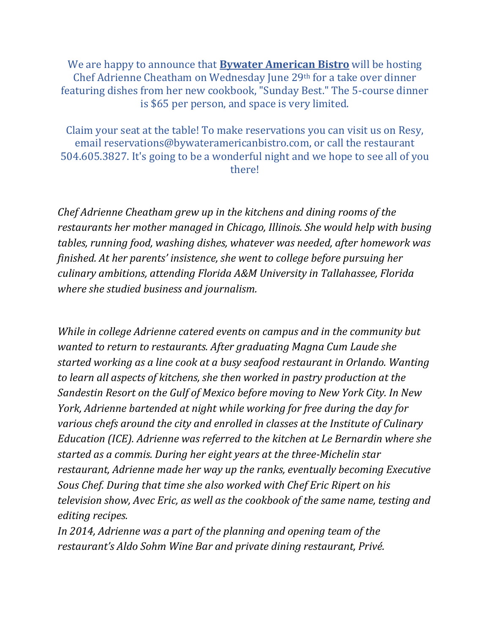We are happy to announce that **Bywater American Bistro** will be hosting Chef Adrienne Cheatham on Wednesday June 29th for a take over dinner featuring dishes from her new cookbook, "Sunday Best." The 5-course dinner is \$65 per person, and space is very limited.

Claim your seat at the table! To make reservations you can visit us on Resy, email reservations@bywateramericanbistro.com, or call the restaurant 504.605.3827. It's going to be a wonderful night and we hope to see all of you there!

*Chef Adrienne Cheatham grew up in the kitchens and dining rooms of the restaurants her mother managed in Chicago, Illinois. She would help with busing tables, running food, washing dishes, whatever was needed, after homework was finished. At her parents' insistence, she went to college before pursuing her culinary ambitions, attending Florida A&M University in Tallahassee, Florida where she studied business and journalism.*

*While in college Adrienne catered events on campus and in the community but wanted to return to restaurants. After graduating Magna Cum Laude she started working as a line cook at a busy seafood restaurant in Orlando. Wanting to learn all aspects of kitchens, she then worked in pastry production at the Sandestin Resort on the Gulf of Mexico before moving to New York City. In New York, Adrienne bartended at night while working for free during the day for various chefs around the city and enrolled in classes at the Institute of Culinary Education (ICE). Adrienne was referred to the kitchen at Le Bernardin where she started as a commis. During her eight years at the three-Michelin star restaurant, Adrienne made her way up the ranks, eventually becoming Executive Sous Chef. During that time she also worked with Chef Eric Ripert on his television show, Avec Eric, as well as the cookbook of the same name, testing and editing recipes.*

*In 2014, Adrienne was a part of the planning and opening team of the restaurant's Aldo Sohm Wine Bar and private dining restaurant, Privé.*